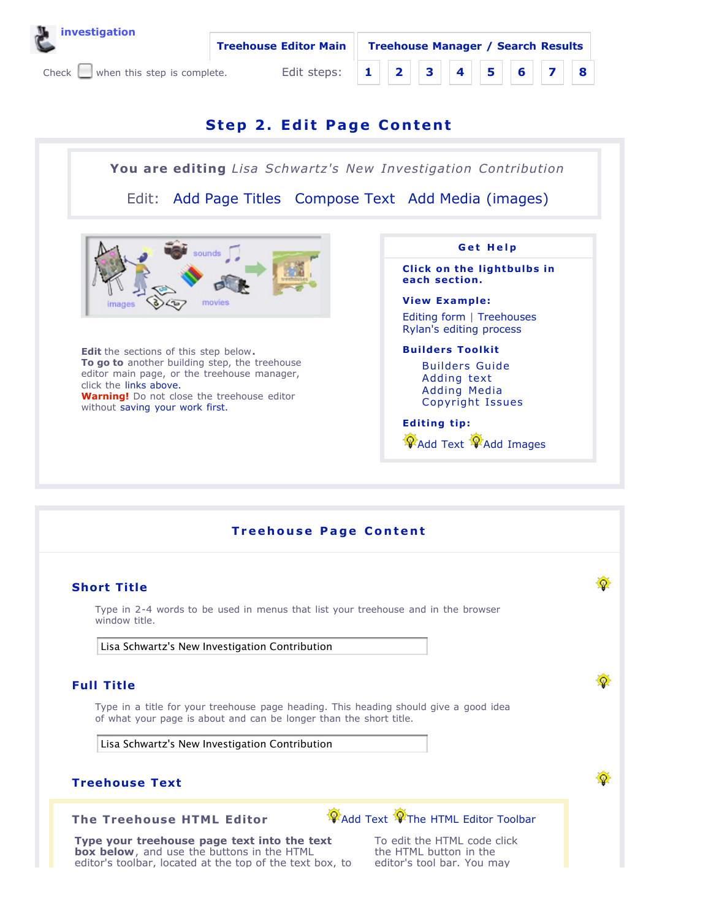



## **Step 2. Edi t Page Content**

**You are editing** *Lisa Schwartz's New Investigation Contribution*

Edit: Add Page Titles Compose Text Add Media (images)



**Edit** the sections of this step below**. To go to** another building step, the treehouse editor main page, or the treehouse manager, click the links above. **Warning!** Do not close the treehouse editor without saving your work first.



**Treehouse Page Content** Ø **Short Title** Type in 2-4 words to be used in menus that list your treehouse and in the browser window title. Lisa Schwartz's New Investigation Contribution Ø **Full Title** Type in a title for your treehouse page heading. This heading should give a good idea of what your page is about and can be longer than the short title. Lisa Schwartz's New Investigation Contribution ۵ **Treehouse Text** Add Text The HTML Editor Toolbar **The Treehouse HTML Editor Type your treehouse page text into the text** To edit the HTML code click **box below**, and use the buttons in the HTML the HTML button in the editor's toolbar, located at the top of the text box, to editor's tool bar. You may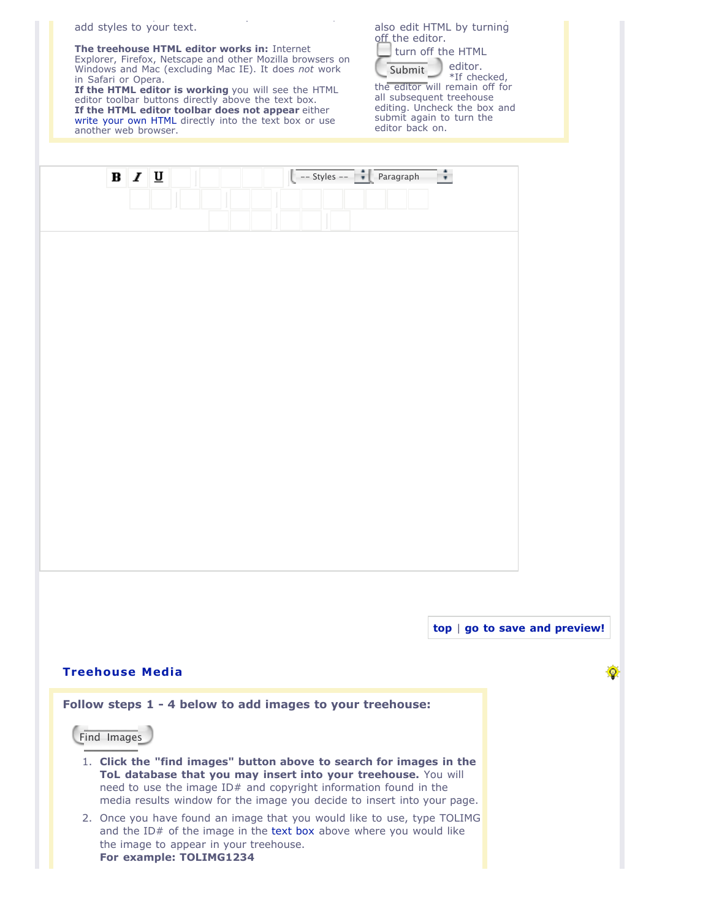add styles to your text.

**The treehouse HTML editor works in:** Internet Explorer, Firefox, Netscape and other Mozilla browsers on Windows and Mac (excluding Mac IE). It does *not* work in Safari or Opera.

editor's toolbar, located at the top of the text box, to

**If the HTML editor is working** you will see the HTML editor toolbar buttons directly above the text box. **If the HTML editor toolbar does not appear** either write your own HTML directly into the text box or use another web browser.

|                            |  | also edit HTML by turning |
|----------------------------|--|---------------------------|
| off the editor.            |  |                           |
| <b>University</b> the HTML |  |                           |

editor's tool bar. You may

Submit editor. \*If checked, the editor will remain off for all subsequent treehouse editing. Uncheck the box and submit again to turn the editor back on.

優

| ۱÷<br>$\begin{array}{ c c c c c c c c } \hline \text{---} & \text{tiny} & \text{Paragraph} \ \hline \end{array}$<br>$B$ $I$ $U$                                                                                                                                                                                                                                                                                                                                                                             |                               |
|-------------------------------------------------------------------------------------------------------------------------------------------------------------------------------------------------------------------------------------------------------------------------------------------------------------------------------------------------------------------------------------------------------------------------------------------------------------------------------------------------------------|-------------------------------|
|                                                                                                                                                                                                                                                                                                                                                                                                                                                                                                             |                               |
| <b>Treehouse Media</b><br>Follow steps 1 - 4 below to add images to your treehouse:<br>Find Images                                                                                                                                                                                                                                                                                                                                                                                                          | top   go to save and preview! |
| 1. Click the "find images" button above to search for images in the<br>ToL database that you may insert into your treehouse. You will<br>need to use the image ID# and copyright information found in the<br>media results window for the image you decide to insert into your page.<br>2. Once you have found an image that you would like to use, type TOLIMG<br>and the ID# of the image in the text box above where you would like<br>the image to appear in your treehouse.<br>For example: TOLIMG1234 |                               |